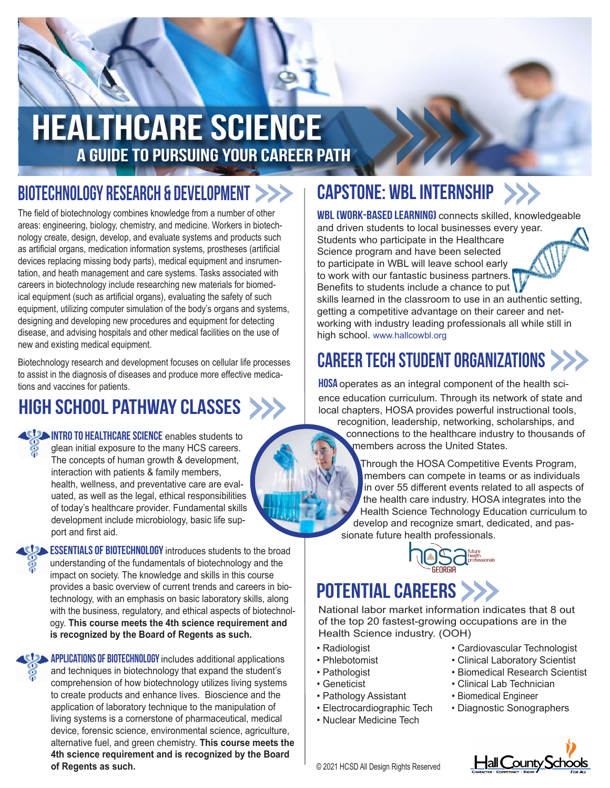# HEALTHCARE Science A Guide to pursuing your career path

### Biotechnology Research & Development

The field of biotechnology combines knowledge from a number of other areas: engineering, biology, chemistry, and medicine. Workers in biotechnology create, design, develop, and evaluate systems and products such as artificial organs, medication information systems, prostheses (artificial devices replacing missing body parts), medical equipment and insrumentation, and heath management and care systems. Tasks associated with careers in biotechnology include researching new materials for biomedical equipment (such as artificial organs), evaluating the safety of such equipment, utilizing computer simulation of the body's organs and systems, designing and developing new procedures and equipment for detecting disease, and advising hospitals and other medical facilities on the use of new and existing medical equipment.

Biotechnology research and development focuses on cellular life processes to assist in the diagnosis of diseases and produce more effective medications and vaccines for patients.

# High School Pathway Classes

**ISUM INTRO TO HEALTHCARE SCIENCE** enables students to glean initial exposure to the many HCS careers. The concepts of human growth & development, interaction with patients & family members, health, wellness, and preventative care are evaluated, as well as the legal, ethical responsibilities of today's healthcare provider. Fundamental skills development include microbiology, basic life support and first aid.

**ESSENTIALS OF BIOTECHNOLOGY** introduces students to the broad understanding of the fundamentals of biotechnology and the impact on society. The knowledge and skills in this course provides a basic overview of current trends and careers in biotechnology, with an emphasis on basic laboratory skills, along with the business, regulatory, and ethical aspects of biotechnology. **This course meets the 4th science requirement and is recognized by the Board of Regents as such.** 



**APPLICATIONS OF BIOTECHNOLOGY** includes additional applications and techniques in biotechnology that expand the student's comprehension of how biotechnology utilizes living systems to create products and enhance lives. Bioscience and the application of laboratory technique to the manipulation of living systems is a cornerstone of pharmaceutical, medical device, forensic science, environmental science, agriculture, alternative fuel, and green chemistry. **This course meets the 4th science requirement and is recognized by the Board of Regents as such.** 

# capstone: wbl internship

wbl (work-based learning) connects skilled, knowledgeable and driven students to local businesses every year. Students who participate in the Healthcare Science program and have been selected to participate in WBL will leave school early to work with our fantastic business partners. Benefits to students include a chance to put

skills learned in the classroom to use in an authentic setting, getting a competitive advantage on their career and networking with industry leading professionals all while still in high school. www.hallcowbl.org

# CAREER TECH STUDENT ORGANIZATIONS

**HOSA** operates as an integral component of the health science education curriculum. Through its network of state and local chapters, HOSA provides powerful instructional tools,

recognition, leadership, networking, scholarships, and connections to the healthcare industry to thousands of members across the United States.

Through the HOSA Competitive Events Program, members can compete in teams or as individuals in over 55 different events related to all aspects of the health care industry. HOSA integrates into the Health Science Technology Education curriculum to develop and recognize smart, dedicated, and passionate future health professionals.



# POTENTIAL CAREERS >>>

National labor market information indicates that 8 out of the top 20 fastest-growing occupations are in the Health Science industry. (OOH)

- Radiologist
- Phlebotomist
- Pathologist
- Geneticist
- Pathology Assistant
- Electrocardiographic Tech
- Nuclear Medicine Tech
- Cardiovascular Technologist
- Clinical Laboratory Scientist
- Biomedical Research Scientist
- Clinical Lab Technician
- Biomedical Engineer
- Diagnostic Sonographers